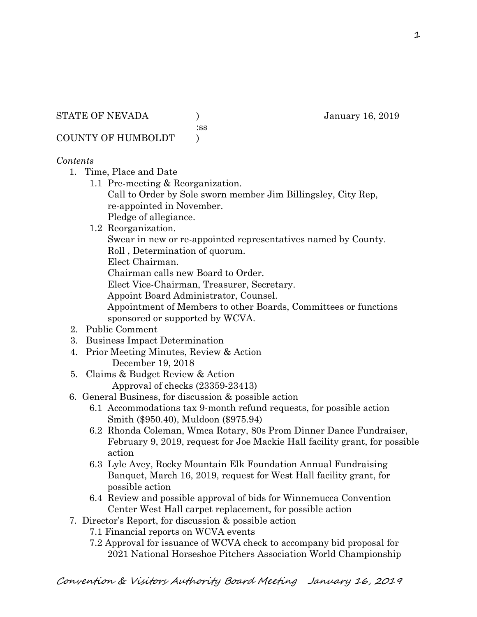STATE OF NEVADA (anuary 16, 2019)

:ss

COUNTY OF HUMBOLDT )

## *Contents*

- 1. Time, Place and Date
	- 1.1 Pre-meeting & Reorganization. Call to Order by Sole sworn member Jim Billingsley, City Rep, re-appointed in November. Pledge of allegiance.
	- 1.2 Reorganization.

Swear in new or re-appointed representatives named by County.

Roll , Determination of quorum.

Elect Chairman.

Chairman calls new Board to Order.

Elect Vice-Chairman, Treasurer, Secretary.

Appoint Board Administrator, Counsel.

 Appointment of Members to other Boards, Committees or functions sponsored or supported by WCVA.

- 2. Public Comment
- 3. Business Impact Determination
- 4. Prior Meeting Minutes, Review & Action December 19, 2018
- 5. Claims & Budget Review & Action Approval of checks (23359-23413)

6. General Business, for discussion & possible action

- 6.1 Accommodations tax 9-month refund requests, for possible action Smith (\$950.40), Muldoon (\$975.94)
- 6.2 Rhonda Coleman, Wmca Rotary, 80s Prom Dinner Dance Fundraiser, February 9, 2019, request for Joe Mackie Hall facility grant, for possible action
- 6.3 Lyle Avey, Rocky Mountain Elk Foundation Annual Fundraising Banquet, March 16, 2019, request for West Hall facility grant, for possible action
- 6.4 Review and possible approval of bids for Winnemucca Convention Center West Hall carpet replacement, for possible action
- 7. Director's Report, for discussion & possible action
	- 7.1 Financial reports on WCVA events
	- 7.2 Approval for issuance of WCVA check to accompany bid proposal for 2021 National Horseshoe Pitchers Association World Championship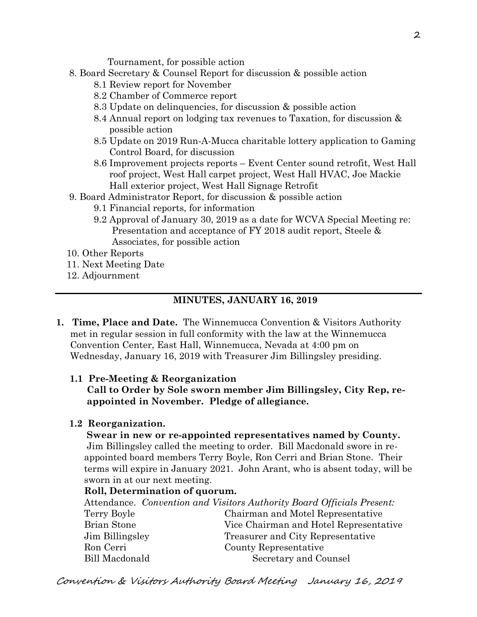Tournament, for possible action

- 8. Board Secretary & Counsel Report for discussion & possible action
	- 8.1 Review report for November
	- 8.2 Chamber of Commerce report
	- 8.3 Update on delinquencies, for discussion & possible action
	- 8.4 Annual report on lodging tax revenues to Taxation, for discussion & possible action
	- 8.5 Update on 2019 Run-A-Mucca charitable lottery application to Gaming Control Board, for discussion
	- 8.6 Improvement projects reports Event Center sound retrofit, West Hall roof project, West Hall carpet project, West Hall HVAC, Joe Mackie Hall exterior project, West Hall Signage Retrofit
- 9. Board Administrator Report, for discussion & possible action
	- 9.1 Financial reports, for information
	- 9.2 Approval of January 30, 2019 as a date for WCVA Special Meeting re: Presentation and acceptance of FY 2018 audit report, Steele & Associates, for possible action
- 10. Other Reports
- 11. Next Meeting Date
- 12. Adjournment

### **MINUTES, JANUARY 16, 2019**

**1. Time, Place and Date.** The Winnemucca Convention & Visitors Authority met in regular session in full conformity with the law at the Winnemucca Convention Center, East Hall, Winnemucca, Nevada at 4:00 pm on Wednesday, January 16, 2019 with Treasurer Jim Billingsley presiding.

#### **1.1 Pre-Meeting & Reorganization**

 **Call to Order by Sole sworn member Jim Billingsley, City Rep, re appointed in November. Pledge of allegiance.** 

#### **1.2 Reorganization.**

 **Swear in new or re-appointed representatives named by County.** Jim Billingsley called the meeting to order. Bill Macdonald swore in re appointed board members Terry Boyle, Ron Cerri and Brian Stone. Their terms will expire in January 2021. John Arant, who is absent today, will be sworn in at our next meeting.

#### **Roll, Determination of quorum.**

| Attendance. Convention and Visitors Authority Board Officials Present: |
|------------------------------------------------------------------------|
| Chairman and Motel Representative                                      |
| Vice Chairman and Hotel Representative                                 |
| Treasurer and City Representative                                      |
| County Representative                                                  |
| Secretary and Counsel                                                  |
|                                                                        |

Convention & Visitors Authority Board Meeting January 16, 2019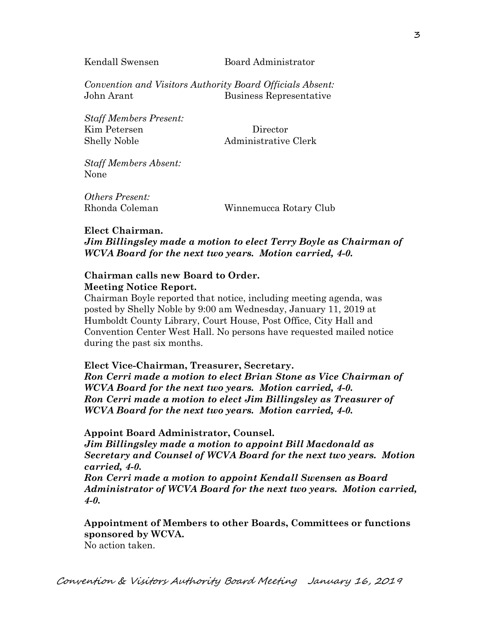Kendall Swensen Board Administrator

*Convention and Visitors Authority Board Officials Absent:*  John Arant Business Representative

*Staff Members Present:*  Kim Petersen Director Shelly Noble Administrative Clerk

*Staff Members Absent:*  None

*Others Present:*  Rhonda Coleman Winnemucca Rotary Club

#### **Elect Chairman.**

*Jim Billingsley made a motion to elect Terry Boyle as Chairman of WCVA Board for the next two years. Motion carried, 4-0.*

### **Chairman calls new Board to Order. Meeting Notice Report.**

Chairman Boyle reported that notice, including meeting agenda, was posted by Shelly Noble by 9:00 am Wednesday, January 11, 2019 at Humboldt County Library, Court House, Post Office, City Hall and Convention Center West Hall. No persons have requested mailed notice during the past six months.

#### **Elect Vice-Chairman, Treasurer, Secretary.**

*Ron Cerri made a motion to elect Brian Stone as Vice Chairman of WCVA Board for the next two years. Motion carried, 4-0. Ron Cerri made a motion to elect Jim Billingsley as Treasurer of WCVA Board for the next two years. Motion carried, 4-0.* 

 **Appoint Board Administrator, Counsel.** 

*Jim Billingsley made a motion to appoint Bill Macdonald as Secretary and Counsel of WCVA Board for the next two years. Motion carried, 4-0.* 

 *Ron Cerri made a motion to appoint Kendall Swensen as Board Administrator of WCVA Board for the next two years. Motion carried, 4-0.* 

## **Appointment of Members to other Boards, Committees or functions sponsored by WCVA.**

No action taken.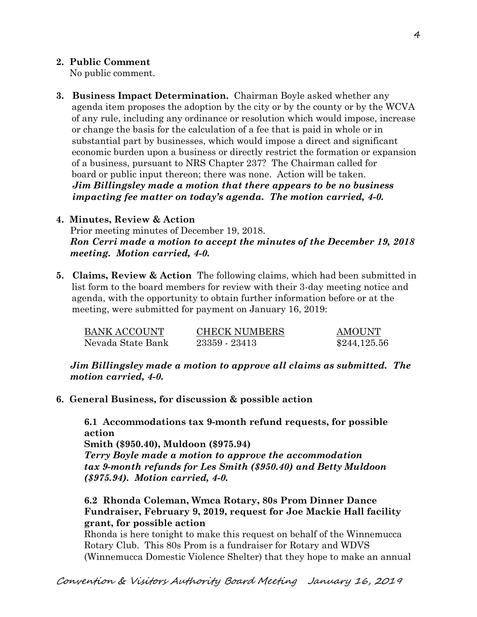## **2. Public Comment**

No public comment.

**3. Business Impact Determination.** Chairman Boyle asked whether any agenda item proposes the adoption by the city or by the county or by the WCVA of any rule, including any ordinance or resolution which would impose, increase or change the basis for the calculation of a fee that is paid in whole or in substantial part by businesses, which would impose a direct and significant economic burden upon a business or directly restrict the formation or expansion of a business, pursuant to NRS Chapter 237? The Chairman called for board or public input thereon; there was none. Action will be taken.  *Jim Billingsley made a motion that there appears to be no business impacting fee matter on today's agenda. The motion carried, 4-0.* 

### **4. Minutes, Review & Action**

Prior meeting minutes of December 19, 2018. *Ron Cerri made a motion to accept the minutes of the December 19, 2018 meeting. Motion carried, 4-0.* 

**5. Claims, Review & Action** The following claims, which had been submitted in list form to the board members for review with their 3-day meeting notice and agenda, with the opportunity to obtain further information before or at the meeting, were submitted for payment on January 16, 2019:

| BANK ACCOUNT      | <b>CHECK NUMBERS</b> | <b>AMOUNT</b> |
|-------------------|----------------------|---------------|
| Nevada State Bank | 23359 - 23413        | \$244,125.56  |

*Jim Billingsley made a motion to approve all claims as submitted. The motion carried, 4-0.* 

**6. General Business, for discussion & possible action** 

**6.1 Accommodations tax 9-month refund requests, for possible action** 

**Smith (\$950.40), Muldoon (\$975.94)** 

*Terry Boyle made a motion to approve the accommodation tax 9-month refunds for Les Smith (\$950.40) and Betty Muldoon (\$975.94). Motion carried, 4-0.*

**6.2 Rhonda Coleman, Wmca Rotary, 80s Prom Dinner Dance Fundraiser, February 9, 2019, request for Joe Mackie Hall facility grant, for possible action** 

Rhonda is here tonight to make this request on behalf of the Winnemucca Rotary Club. This 80s Prom is a fundraiser for Rotary and WDVS (Winnemucca Domestic Violence Shelter) that they hope to make an annual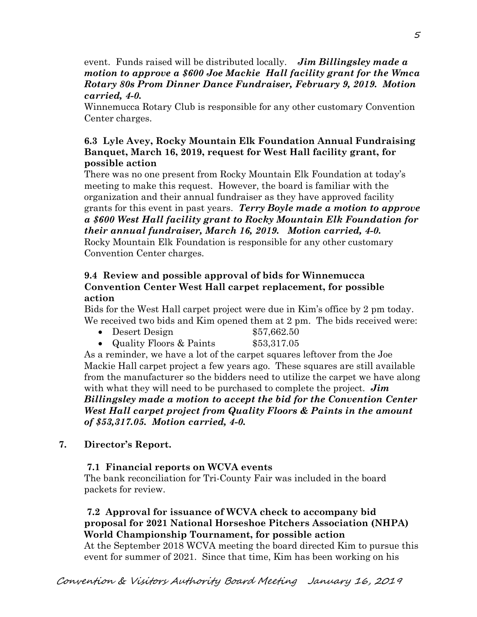event. Funds raised will be distributed locally. *Jim Billingsley made a motion to approve a \$600 Joe Mackie Hall facility grant for the Wmca Rotary 80s Prom Dinner Dance Fundraiser, February 9, 2019. Motion carried, 4-0.* 

Winnemucca Rotary Club is responsible for any other customary Convention Center charges.

## **6.3 Lyle Avey, Rocky Mountain Elk Foundation Annual Fundraising Banquet, March 16, 2019, request for West Hall facility grant, for possible action**

There was no one present from Rocky Mountain Elk Foundation at today's meeting to make this request. However, the board is familiar with the organization and their annual fundraiser as they have approved facility grants for this event in past years. *Terry Boyle made a motion to approve a \$600 West Hall facility grant to Rocky Mountain Elk Foundation for their annual fundraiser, March 16, 2019. Motion carried, 4-0.* 

Rocky Mountain Elk Foundation is responsible for any other customary Convention Center charges.

## **9.4 Review and possible approval of bids for Winnemucca Convention Center West Hall carpet replacement, for possible action**

Bids for the West Hall carpet project were due in Kim's office by 2 pm today. We received two bids and Kim opened them at 2 pm. The bids received were:

- Desert Design \$57,662.50
- Quality Floors & Paints \$53,317.05

As a reminder, we have a lot of the carpet squares leftover from the Joe Mackie Hall carpet project a few years ago. These squares are still available from the manufacturer so the bidders need to utilize the carpet we have along with what they will need to be purchased to complete the project. *Jim Billingsley made a motion to accept the bid for the Convention Center West Hall carpet project from Quality Floors & Paints in the amount of \$53,317.05. Motion carried, 4-0.* 

# **7. Director's Report.**

## **7.1 Financial reports on WCVA events**

The bank reconciliation for Tri-County Fair was included in the board packets for review.

## **7.2 Approval for issuance of WCVA check to accompany bid proposal for 2021 National Horseshoe Pitchers Association (NHPA) World Championship Tournament, for possible action**

At the September 2018 WCVA meeting the board directed Kim to pursue this event for summer of 2021. Since that time, Kim has been working on his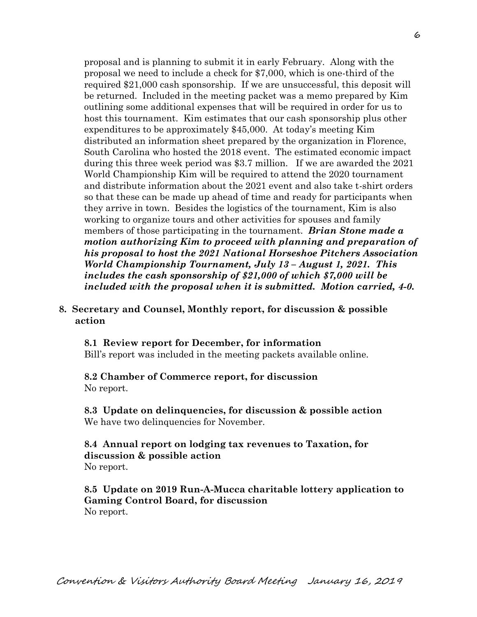proposal and is planning to submit it in early February. Along with the proposal we need to include a check for \$7,000, which is one-third of the required \$21,000 cash sponsorship. If we are unsuccessful, this deposit will be returned. Included in the meeting packet was a memo prepared by Kim outlining some additional expenses that will be required in order for us to host this tournament. Kim estimates that our cash sponsorship plus other expenditures to be approximately \$45,000. At today's meeting Kim distributed an information sheet prepared by the organization in Florence, South Carolina who hosted the 2018 event. The estimated economic impact during this three week period was \$3.7 million. If we are awarded the 2021 World Championship Kim will be required to attend the 2020 tournament and distribute information about the 2021 event and also take t-shirt orders so that these can be made up ahead of time and ready for participants when they arrive in town. Besides the logistics of the tournament, Kim is also working to organize tours and other activities for spouses and family members of those participating in the tournament. *Brian Stone made a motion authorizing Kim to proceed with planning and preparation of his proposal to host the 2021 National Horseshoe Pitchers Association World Championship Tournament, July 13 – August 1, 2021. This includes the cash sponsorship of \$21,000 of which \$7,000 will be included with the proposal when it is submitted. Motion carried, 4-0.*

#### **8. Secretary and Counsel, Monthly report, for discussion & possible action**

**8.1 Review report for December, for information**  Bill's report was included in the meeting packets available online.

#### **8.2 Chamber of Commerce report, for discussion**  No report.

**8.3 Update on delinquencies, for discussion & possible action**  We have two delinquencies for November.

### **8.4 Annual report on lodging tax revenues to Taxation, for discussion & possible action**  No report.

**8.5 Update on 2019 Run-A-Mucca charitable lottery application to Gaming Control Board, for discussion**  No report.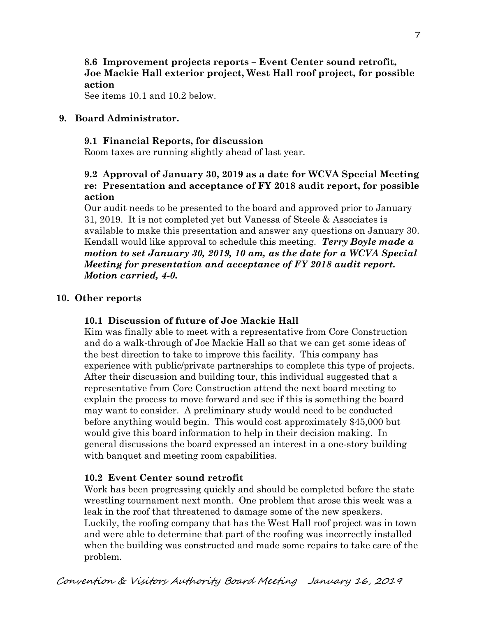## **8.6 Improvement projects reports – Event Center sound retrofit, Joe Mackie Hall exterior project, West Hall roof project, for possible action**

See items 10.1 and 10.2 below.

### **9. Board Administrator.**

### **9.1 Financial Reports, for discussion**

Room taxes are running slightly ahead of last year.

## **9.2 Approval of January 30, 2019 as a date for WCVA Special Meeting re: Presentation and acceptance of FY 2018 audit report, for possible action**

Our audit needs to be presented to the board and approved prior to January 31, 2019. It is not completed yet but Vanessa of Steele & Associates is available to make this presentation and answer any questions on January 30. Kendall would like approval to schedule this meeting. *Terry Boyle made a motion to set January 30, 2019, 10 am, as the date for a WCVA Special Meeting for presentation and acceptance of FY 2018 audit report. Motion carried, 4-0.*

### **10. Other reports**

### **10.1 Discussion of future of Joe Mackie Hall**

Kim was finally able to meet with a representative from Core Construction and do a walk-through of Joe Mackie Hall so that we can get some ideas of the best direction to take to improve this facility. This company has experience with public/private partnerships to complete this type of projects. After their discussion and building tour, this individual suggested that a representative from Core Construction attend the next board meeting to explain the process to move forward and see if this is something the board may want to consider. A preliminary study would need to be conducted before anything would begin. This would cost approximately \$45,000 but would give this board information to help in their decision making. In general discussions the board expressed an interest in a one-story building with banquet and meeting room capabilities.

### **10.2 Event Center sound retrofit**

Work has been progressing quickly and should be completed before the state wrestling tournament next month. One problem that arose this week was a leak in the roof that threatened to damage some of the new speakers. Luckily, the roofing company that has the West Hall roof project was in town and were able to determine that part of the roofing was incorrectly installed when the building was constructed and made some repairs to take care of the problem.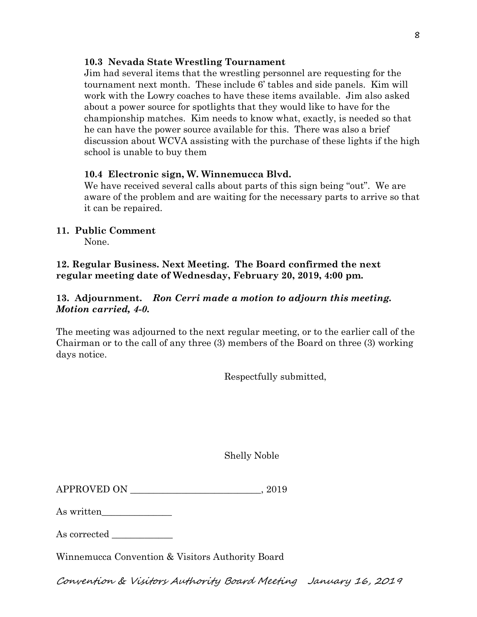### **10.3 Nevada State Wrestling Tournament**

Jim had several items that the wrestling personnel are requesting for the tournament next month. These include 6' tables and side panels. Kim will work with the Lowry coaches to have these items available. Jim also asked about a power source for spotlights that they would like to have for the championship matches. Kim needs to know what, exactly, is needed so that he can have the power source available for this. There was also a brief discussion about WCVA assisting with the purchase of these lights if the high school is unable to buy them

### **10.4 Electronic sign, W. Winnemucca Blvd.**

We have received several calls about parts of this sign being "out". We are aware of the problem and are waiting for the necessary parts to arrive so that it can be repaired.

## **11. Public Comment**

None.

## **12. Regular Business. Next Meeting. The Board confirmed the next regular meeting date of Wednesday, February 20, 2019, 4:00 pm.**

## **13. Adjournment.** *Ron Cerri made a motion to adjourn this meeting. Motion carried, 4-0.*

The meeting was adjourned to the next regular meeting, or to the earlier call of the Chairman or to the call of any three (3) members of the Board on three (3) working days notice.

Respectfully submitted,

Shelly Noble

| <b>APPROVED ON</b> |  | 2019 |
|--------------------|--|------|
|--------------------|--|------|

As written

As corrected  $\_\_$ 

Winnemucca Convention & Visitors Authority Board

Convention & Visitors Authority Board Meeting January 16, 2019